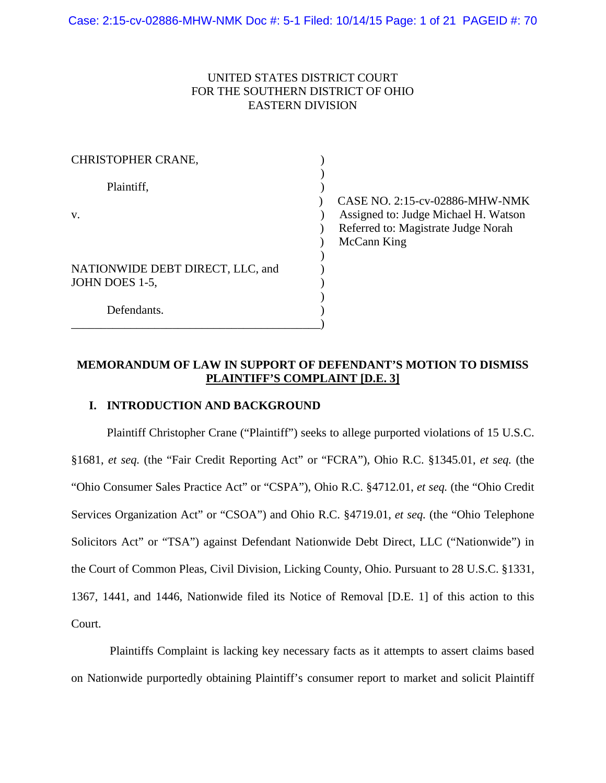## UNITED STATES DISTRICT COURT FOR THE SOUTHERN DISTRICT OF OHIO EASTERN DIVISION

| CHRISTOPHER CRANE,               |               |
|----------------------------------|---------------|
|                                  |               |
| Plaintiff,                       |               |
|                                  | <b>CASE</b> N |
| V.                               | Assigne       |
|                                  | Referre       |
|                                  | McCan         |
|                                  |               |
| NATIONWIDE DEBT DIRECT, LLC, and |               |
| JOHN DOES 1-5,                   |               |
|                                  |               |
| Defendants.                      |               |
|                                  |               |

) CASE NO. 2:15-cv-02886-MHW-NMK ed to: Judge Michael H. Watson d to: Magistrate Judge Norah n King

# **MEMORANDUM OF LAW IN SUPPORT OF DEFENDANT'S MOTION TO DISMISS PLAINTIFF'S COMPLAINT [D.E. 3]**

### **I. INTRODUCTION AND BACKGROUND**

Plaintiff Christopher Crane ("Plaintiff") seeks to allege purported violations of 15 U.S.C. §1681, *et seq.* (the "Fair Credit Reporting Act" or "FCRA"), Ohio R.C. §1345.01, *et seq.* (the "Ohio Consumer Sales Practice Act" or "CSPA"), Ohio R.C. §4712.01, *et seq.* (the "Ohio Credit Services Organization Act" or "CSOA") and Ohio R.C. §4719.01, *et seq.* (the "Ohio Telephone Solicitors Act" or "TSA") against Defendant Nationwide Debt Direct, LLC ("Nationwide") in the Court of Common Pleas, Civil Division, Licking County, Ohio. Pursuant to 28 U.S.C. §1331, 1367, 1441, and 1446, Nationwide filed its Notice of Removal [D.E. 1] of this action to this Court.

Plaintiffs Complaint is lacking key necessary facts as it attempts to assert claims based on Nationwide purportedly obtaining Plaintiff's consumer report to market and solicit Plaintiff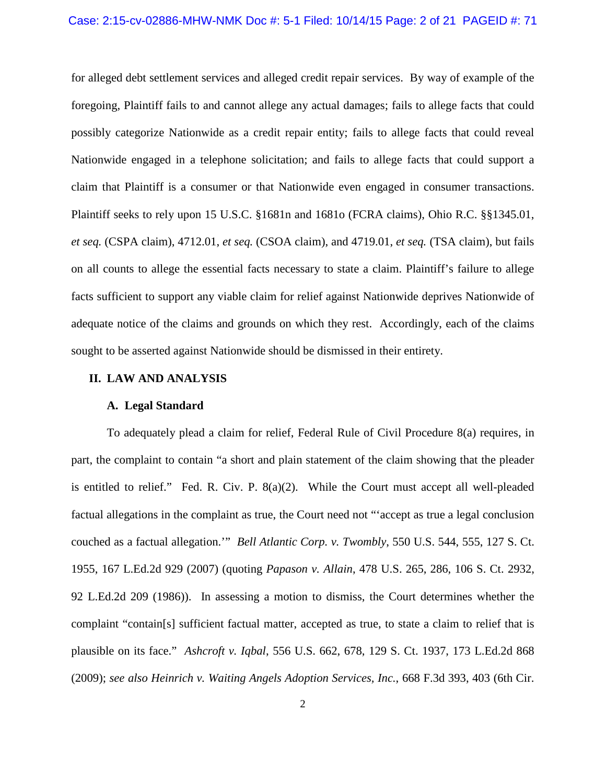#### Case: 2:15-cv-02886-MHW-NMK Doc #: 5-1 Filed: 10/14/15 Page: 2 of 21 PAGEID #: 71

for alleged debt settlement services and alleged credit repair services. By way of example of the foregoing, Plaintiff fails to and cannot allege any actual damages; fails to allege facts that could possibly categorize Nationwide as a credit repair entity; fails to allege facts that could reveal Nationwide engaged in a telephone solicitation; and fails to allege facts that could support a claim that Plaintiff is a consumer or that Nationwide even engaged in consumer transactions. Plaintiff seeks to rely upon 15 U.S.C. §1681n and 1681o (FCRA claims), Ohio R.C. §§1345.01, *et seq.* (CSPA claim), 4712.01, *et seq.* (CSOA claim), and 4719.01, *et seq.* (TSA claim), but fails on all counts to allege the essential facts necessary to state a claim. Plaintiff's failure to allege facts sufficient to support any viable claim for relief against Nationwide deprives Nationwide of adequate notice of the claims and grounds on which they rest. Accordingly, each of the claims sought to be asserted against Nationwide should be dismissed in their entirety.

### **II. LAW AND ANALYSIS**

#### **A. Legal Standard**

To adequately plead a claim for relief, Federal Rule of Civil Procedure 8(a) requires, in part, the complaint to contain "a short and plain statement of the claim showing that the pleader is entitled to relief." Fed. R. Civ. P. 8(a)(2). While the Court must accept all well-pleaded factual allegations in the complaint as true, the Court need not "'accept as true a legal conclusion couched as a factual allegation.'" *Bell Atlantic Corp. v. Twombly*, 550 U.S. 544, 555, 127 S. Ct. 1955, 167 L.Ed.2d 929 (2007) (quoting *Papason v. Allain*, 478 U.S. 265, 286, 106 S. Ct. 2932, 92 L.Ed.2d 209 (1986)). In assessing a motion to dismiss, the Court determines whether the complaint "contain[s] sufficient factual matter, accepted as true, to state a claim to relief that is plausible on its face." *Ashcroft v. Iqbal*, 556 U.S. 662, 678, 129 S. Ct. 1937, 173 L.Ed.2d 868 (2009); *see also Heinrich v. Waiting Angels Adoption Services, Inc.*, 668 F.3d 393, 403 (6th Cir.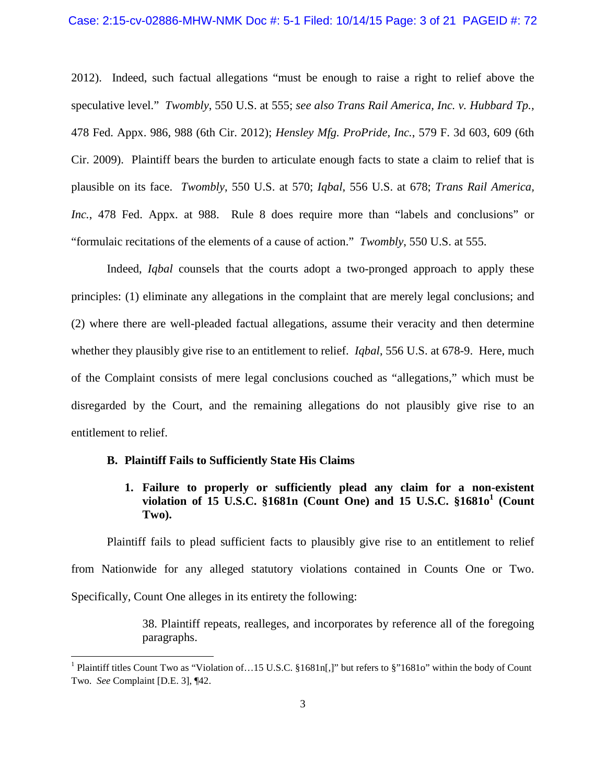2012). Indeed, such factual allegations "must be enough to raise a right to relief above the speculative level." *Twombly*, 550 U.S. at 555; *see also Trans Rail America, Inc. v. Hubbard Tp.,* 478 Fed. Appx. 986, 988 (6th Cir. 2012); *Hensley Mfg. ProPride, Inc.*, 579 F. 3d 603, 609 (6th Cir. 2009). Plaintiff bears the burden to articulate enough facts to state a claim to relief that is plausible on its face. *Twombly*, 550 U.S. at 570; *Iqbal*, 556 U.S. at 678; *Trans Rail America, Inc.*, 478 Fed. Appx. at 988. Rule 8 does require more than "labels and conclusions" or "formulaic recitations of the elements of a cause of action." *Twombly*, 550 U.S. at 555.

Indeed, *Iqbal* counsels that the courts adopt a two-pronged approach to apply these principles: (1) eliminate any allegations in the complaint that are merely legal conclusions; and (2) where there are well-pleaded factual allegations, assume their veracity and then determine whether they plausibly give rise to an entitlement to relief. *Iqbal*, 556 U.S. at 678-9. Here, much of the Complaint consists of mere legal conclusions couched as "allegations," which must be disregarded by the Court, and the remaining allegations do not plausibly give rise to an entitlement to relief.

#### **B. Plaintiff Fails to Sufficiently State His Claims**

## **1. Failure to properly or sufficiently plead any claim for a non-existent violation of 15 U.S.C. §1681n (Count One) and 15 U.S.C. §1681o<sup>1</sup> (Count Two).**

Plaintiff fails to plead sufficient facts to plausibly give rise to an entitlement to relief from Nationwide for any alleged statutory violations contained in Counts One or Two. Specifically, Count One alleges in its entirety the following:

> 38. Plaintiff repeats, realleges, and incorporates by reference all of the foregoing paragraphs.

<sup>&</sup>lt;sup>1</sup> Plaintiff titles Count Two as "Violation of...15 U.S.C. §1681n[,]" but refers to §"1681o" within the body of Count Two. *See* Complaint [D.E. 3], ¶42.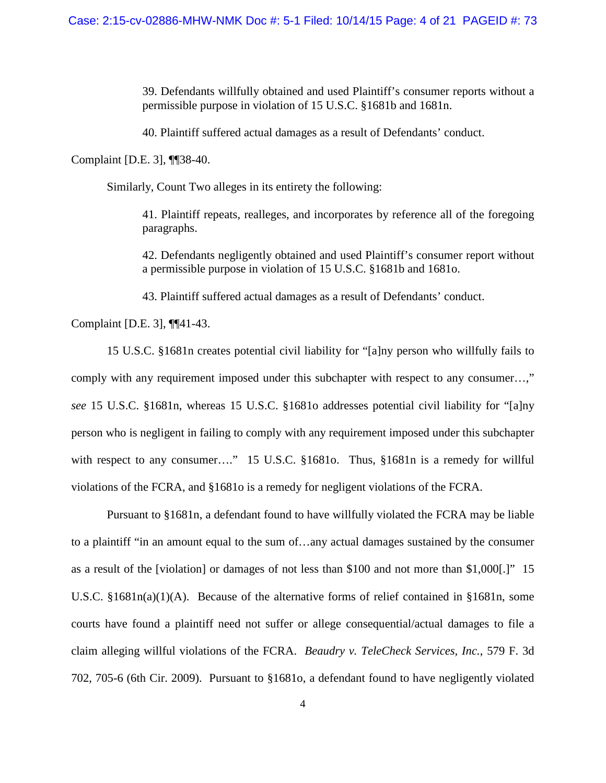39. Defendants willfully obtained and used Plaintiff's consumer reports without a permissible purpose in violation of 15 U.S.C. §1681b and 1681n.

40. Plaintiff suffered actual damages as a result of Defendants' conduct.

Complaint [D.E. 3], ¶¶38-40.

Similarly, Count Two alleges in its entirety the following:

41. Plaintiff repeats, realleges, and incorporates by reference all of the foregoing paragraphs.

42. Defendants negligently obtained and used Plaintiff's consumer report without a permissible purpose in violation of 15 U.S.C. §1681b and 1681o.

43. Plaintiff suffered actual damages as a result of Defendants' conduct.

Complaint [D.E. 3], ¶¶41-43.

15 U.S.C. §1681n creates potential civil liability for "[a]ny person who willfully fails to comply with any requirement imposed under this subchapter with respect to any consumer…," *see* 15 U.S.C. §1681n, whereas 15 U.S.C. §1681o addresses potential civil liability for "[a]ny person who is negligent in failing to comply with any requirement imposed under this subchapter with respect to any consumer...." 15 U.S.C. §1681o. Thus, §1681n is a remedy for willful violations of the FCRA, and §1681o is a remedy for negligent violations of the FCRA.

Pursuant to §1681n, a defendant found to have willfully violated the FCRA may be liable to a plaintiff "in an amount equal to the sum of…any actual damages sustained by the consumer as a result of the [violation] or damages of not less than \$100 and not more than \$1,000[.]" 15 U.S.C. §1681n(a)(1)(A). Because of the alternative forms of relief contained in §1681n, some courts have found a plaintiff need not suffer or allege consequential/actual damages to file a claim alleging willful violations of the FCRA. *Beaudry v. TeleCheck Services, Inc.*, 579 F. 3d 702, 705-6 (6th Cir. 2009). Pursuant to §1681o, a defendant found to have negligently violated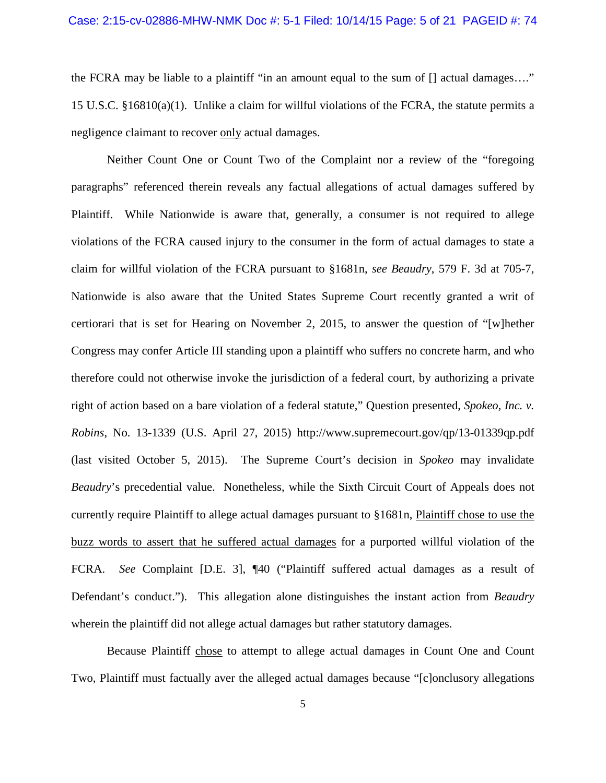the FCRA may be liable to a plaintiff "in an amount equal to the sum of [] actual damages…." 15 U.S.C. §16810(a)(1). Unlike a claim for willful violations of the FCRA, the statute permits a negligence claimant to recover only actual damages.

Neither Count One or Count Two of the Complaint nor a review of the "foregoing paragraphs" referenced therein reveals any factual allegations of actual damages suffered by Plaintiff. While Nationwide is aware that, generally, a consumer is not required to allege violations of the FCRA caused injury to the consumer in the form of actual damages to state a claim for willful violation of the FCRA pursuant to §1681n, *see Beaudry*, 579 F. 3d at 705-7, Nationwide is also aware that the United States Supreme Court recently granted a writ of certiorari that is set for Hearing on November 2, 2015, to answer the question of "[w]hether Congress may confer Article III standing upon a plaintiff who suffers no concrete harm, and who therefore could not otherwise invoke the jurisdiction of a federal court, by authorizing a private right of action based on a bare violation of a federal statute," Question presented, *Spokeo, Inc. v. Robins*, No. 13-1339 (U.S. April 27, 2015) http://www.supremecourt.gov/qp/13-01339qp.pdf (last visited October 5, 2015). The Supreme Court's decision in *Spokeo* may invalidate *Beaudry*'s precedential value. Nonetheless, while the Sixth Circuit Court of Appeals does not currently require Plaintiff to allege actual damages pursuant to §1681n, Plaintiff chose to use the buzz words to assert that he suffered actual damages for a purported willful violation of the FCRA. *See* Complaint [D.E. 3], ¶40 ("Plaintiff suffered actual damages as a result of Defendant's conduct."). This allegation alone distinguishes the instant action from *Beaudry* wherein the plaintiff did not allege actual damages but rather statutory damages.

Because Plaintiff chose to attempt to allege actual damages in Count One and Count Two, Plaintiff must factually aver the alleged actual damages because "[c]onclusory allegations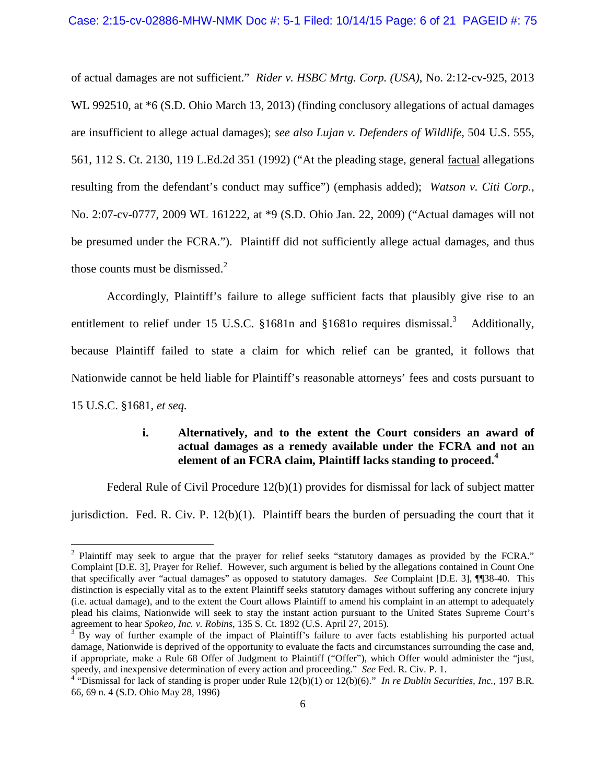of actual damages are not sufficient." *Rider v. HSBC Mrtg. Corp. (USA)*, No. 2:12-cv-925, 2013 WL 992510, at  $*6$  (S.D. Ohio March 13, 2013) (finding conclusory allegations of actual damages are insufficient to allege actual damages); *see also Lujan v. Defenders of Wildlife*, 504 U.S. 555, 561, 112 S. Ct. 2130, 119 L.Ed.2d 351 (1992) ("At the pleading stage, general factual allegations resulting from the defendant's conduct may suffice") (emphasis added); *Watson v. Citi Corp.*, No. 2:07-cv-0777, 2009 WL 161222, at \*9 (S.D. Ohio Jan. 22, 2009) ("Actual damages will not be presumed under the FCRA."). Plaintiff did not sufficiently allege actual damages, and thus those counts must be dismissed. $2^2$ 

Accordingly, Plaintiff's failure to allege sufficient facts that plausibly give rise to an entitlement to relief under 15 U.S.C. §1681n and §1681o requires dismissal.<sup>3</sup> Additionally, because Plaintiff failed to state a claim for which relief can be granted, it follows that Nationwide cannot be held liable for Plaintiff's reasonable attorneys' fees and costs pursuant to 15 U.S.C. §1681, *et seq.*

## **i. Alternatively, and to the extent the Court considers an award of actual damages as a remedy available under the FCRA and not an element of an FCRA claim, Plaintiff lacks standing to proceed.<sup>4</sup>**

Federal Rule of Civil Procedure 12(b)(1) provides for dismissal for lack of subject matter

jurisdiction. Fed. R. Civ. P. 12(b)(1). Plaintiff bears the burden of persuading the court that it

<sup>&</sup>lt;sup>2</sup> Plaintiff may seek to argue that the prayer for relief seeks "statutory damages as provided by the FCRA." Complaint [D.E. 3], Prayer for Relief. However, such argument is belied by the allegations contained in Count One that specifically aver "actual damages" as opposed to statutory damages. *See* Complaint [D.E. 3], ¶¶38-40. This distinction is especially vital as to the extent Plaintiff seeks statutory damages without suffering any concrete injury (i.e. actual damage), and to the extent the Court allows Plaintiff to amend his complaint in an attempt to adequately plead his claims, Nationwide will seek to stay the instant action pursuant to the United States Supreme Court's agreement to hear *Spokeo, Inc. v. Robins*, 135 S. Ct. 1892 (U.S. April 27, 2015).

 $3$  By way of further example of the impact of Plaintiff's failure to aver facts establishing his purported actual damage, Nationwide is deprived of the opportunity to evaluate the facts and circumstances surrounding the case and, if appropriate, make a Rule 68 Offer of Judgment to Plaintiff ("Offer"), which Offer would administer the "just, speedy, and inexpensive determination of every action and proceeding." *See* Fed. R. Civ. P. 1.

<sup>&</sup>lt;sup>4</sup> "Dismissal for lack of standing is proper under Rule  $12(b)(1)$  or  $12(b)(6)$ ." *In re Dublin Securities, Inc.*, 197 B.R. 66, 69 n. 4 (S.D. Ohio May 28, 1996)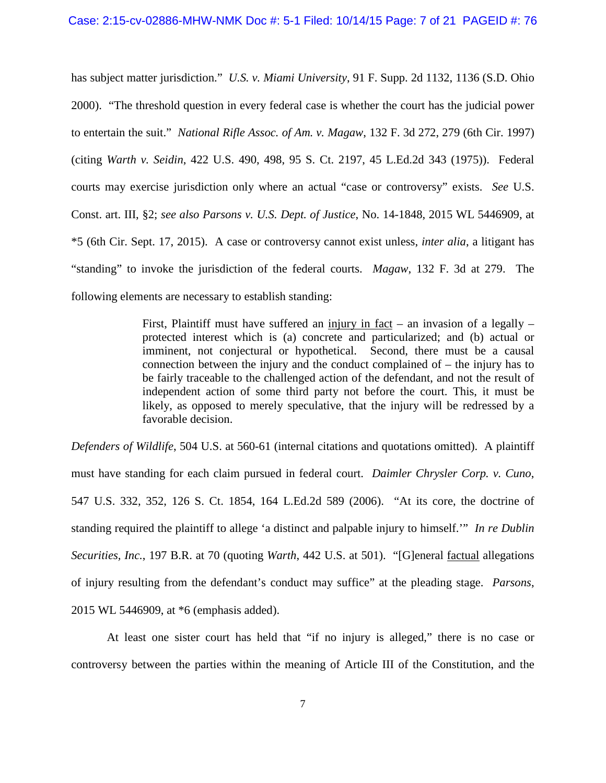has subject matter jurisdiction." *U.S. v. Miami University*, 91 F. Supp. 2d 1132, 1136 (S.D. Ohio 2000). "The threshold question in every federal case is whether the court has the judicial power to entertain the suit." *National Rifle Assoc. of Am. v. Magaw*, 132 F. 3d 272, 279 (6th Cir. 1997) (citing *Warth v. Seidin*, 422 U.S. 490, 498, 95 S. Ct. 2197, 45 L.Ed.2d 343 (1975)). Federal courts may exercise jurisdiction only where an actual "case or controversy" exists. *See* U.S. Const. art. III, §2; *see also Parsons v. U.S. Dept. of Justice*, No. 14-1848, 2015 WL 5446909, at \*5 (6th Cir. Sept. 17, 2015). A case or controversy cannot exist unless, *inter alia*, a litigant has "standing" to invoke the jurisdiction of the federal courts. *Magaw*, 132 F. 3d at 279. The following elements are necessary to establish standing:

> First, Plaintiff must have suffered an injury in fact – an invasion of a legally – protected interest which is (a) concrete and particularized; and (b) actual or imminent, not conjectural or hypothetical. Second, there must be a causal connection between the injury and the conduct complained of – the injury has to be fairly traceable to the challenged action of the defendant, and not the result of independent action of some third party not before the court. This, it must be likely, as opposed to merely speculative, that the injury will be redressed by a favorable decision.

*Defenders of Wildlife*, 504 U.S. at 560-61 (internal citations and quotations omitted). A plaintiff must have standing for each claim pursued in federal court. *Daimler Chrysler Corp. v. Cuno*, 547 U.S. 332, 352, 126 S. Ct. 1854, 164 L.Ed.2d 589 (2006). "At its core, the doctrine of standing required the plaintiff to allege 'a distinct and palpable injury to himself.'" *In re Dublin Securities, Inc.*, 197 B.R. at 70 (quoting *Warth*, 442 U.S. at 501). "[G]eneral factual allegations of injury resulting from the defendant's conduct may suffice" at the pleading stage. *Parsons*, 2015 WL 5446909, at \*6 (emphasis added).

At least one sister court has held that "if no injury is alleged," there is no case or controversy between the parties within the meaning of Article III of the Constitution, and the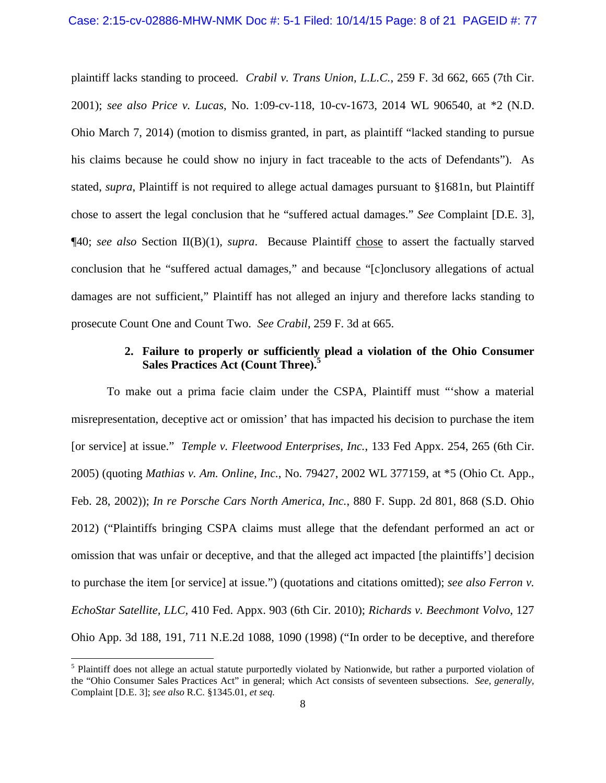plaintiff lacks standing to proceed. *Crabil v. Trans Union, L.L.C.*, 259 F. 3d 662, 665 (7th Cir. 2001); *see also Price v. Lucas*, No. 1:09-cv-118, 10-cv-1673, 2014 WL 906540, at \*2 (N.D. Ohio March 7, 2014) (motion to dismiss granted, in part, as plaintiff "lacked standing to pursue his claims because he could show no injury in fact traceable to the acts of Defendants"). As stated, *supra*, Plaintiff is not required to allege actual damages pursuant to §1681n, but Plaintiff chose to assert the legal conclusion that he "suffered actual damages." *See* Complaint [D.E. 3], ¶40; *see also* Section II(B)(1), *supra*. Because Plaintiff chose to assert the factually starved conclusion that he "suffered actual damages," and because "[c]onclusory allegations of actual damages are not sufficient," Plaintiff has not alleged an injury and therefore lacks standing to prosecute Count One and Count Two. *See Crabil*, 259 F. 3d at 665.

## **2. Failure to properly or sufficiently plead a violation of the Ohio Consumer Sales Practices Act (Count Three).<sup>5</sup>**

To make out a prima facie claim under the CSPA, Plaintiff must "'show a material misrepresentation, deceptive act or omission' that has impacted his decision to purchase the item [or service] at issue." *Temple v. Fleetwood Enterprises, Inc.*, 133 Fed Appx. 254, 265 (6th Cir. 2005) (quoting *Mathias v. Am. Online, Inc.*, No. 79427, 2002 WL 377159, at \*5 (Ohio Ct. App., Feb. 28, 2002)); *In re Porsche Cars North America, Inc.*, 880 F. Supp. 2d 801, 868 (S.D. Ohio 2012) ("Plaintiffs bringing CSPA claims must allege that the defendant performed an act or omission that was unfair or deceptive, and that the alleged act impacted [the plaintiffs'] decision to purchase the item [or service] at issue.") (quotations and citations omitted); *see also Ferron v. EchoStar Satellite, LLC*, 410 Fed. Appx. 903 (6th Cir. 2010); *Richards v. Beechmont Volvo*, 127 Ohio App. 3d 188, 191, 711 N.E.2d 1088, 1090 (1998) ("In order to be deceptive, and therefore

<sup>&</sup>lt;sup>5</sup> Plaintiff does not allege an actual statute purportedly violated by Nationwide, but rather a purported violation of the "Ohio Consumer Sales Practices Act" in general; which Act consists of seventeen subsections. *See, generally,* Complaint [D.E. 3]; *see also* R.C. §1345.01, *et seq.*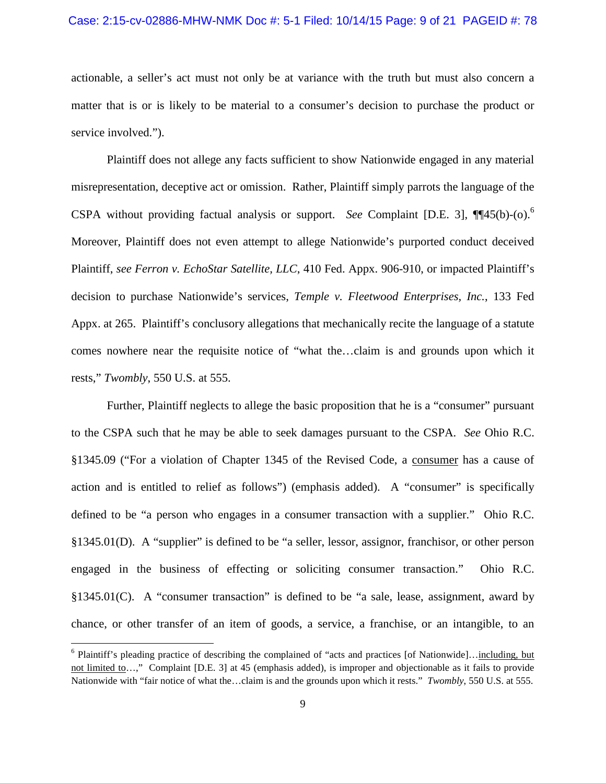#### Case: 2:15-cv-02886-MHW-NMK Doc #: 5-1 Filed: 10/14/15 Page: 9 of 21 PAGEID #: 78

actionable, a seller's act must not only be at variance with the truth but must also concern a matter that is or is likely to be material to a consumer's decision to purchase the product or service involved.").

Plaintiff does not allege any facts sufficient to show Nationwide engaged in any material misrepresentation, deceptive act or omission. Rather, Plaintiff simply parrots the language of the CSPA without providing factual analysis or support. *See* Complaint [D.E. 3], ¶¶45(b)-(o).<sup>6</sup> Moreover, Plaintiff does not even attempt to allege Nationwide's purported conduct deceived Plaintiff, *see Ferron v. EchoStar Satellite, LLC*, 410 Fed. Appx. 906-910, or impacted Plaintiff's decision to purchase Nationwide's services, *Temple v. Fleetwood Enterprises, Inc.*, 133 Fed Appx. at 265. Plaintiff's conclusory allegations that mechanically recite the language of a statute comes nowhere near the requisite notice of "what the…claim is and grounds upon which it rests," *Twombly*, 550 U.S. at 555.

Further, Plaintiff neglects to allege the basic proposition that he is a "consumer" pursuant to the CSPA such that he may be able to seek damages pursuant to the CSPA. *See* Ohio R.C. §1345.09 ("For a violation of Chapter 1345 of the Revised Code, a consumer has a cause of action and is entitled to relief as follows") (emphasis added). A "consumer" is specifically defined to be "a person who engages in a consumer transaction with a supplier." Ohio R.C. §1345.01(D). A "supplier" is defined to be "a seller, lessor, assignor, franchisor, or other person engaged in the business of effecting or soliciting consumer transaction." Ohio R.C. §1345.01(C). A "consumer transaction" is defined to be "a sale, lease, assignment, award by chance, or other transfer of an item of goods, a service, a franchise, or an intangible, to an

<sup>&</sup>lt;sup>6</sup> Plaintiff's pleading practice of describing the complained of "acts and practices [of Nationwide]...<u>including, but</u> not limited to…," Complaint [D.E. 3] at 45 (emphasis added), is improper and objectionable as it fails to provide Nationwide with "fair notice of what the…claim is and the grounds upon which it rests." *Twombly*, 550 U.S. at 555.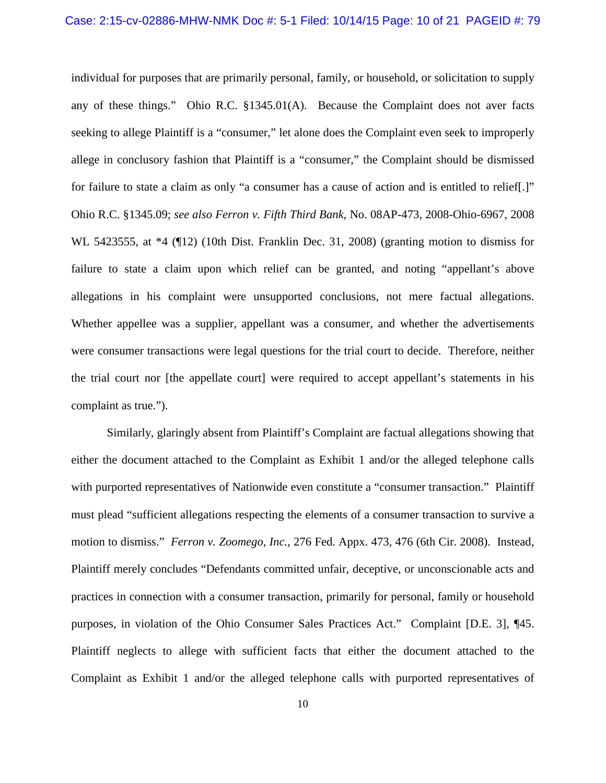individual for purposes that are primarily personal, family, or household, or solicitation to supply any of these things." Ohio R.C. §1345.01(A). Because the Complaint does not aver facts seeking to allege Plaintiff is a "consumer," let alone does the Complaint even seek to improperly allege in conclusory fashion that Plaintiff is a "consumer," the Complaint should be dismissed for failure to state a claim as only "a consumer has a cause of action and is entitled to relief[.]" Ohio R.C. §1345.09; *see also Ferron v. Fifth Third Bank*, No. 08AP-473, 2008-Ohio-6967, 2008 WL 5423555, at \*4 (¶12) (10th Dist. Franklin Dec. 31, 2008) (granting motion to dismiss for failure to state a claim upon which relief can be granted, and noting "appellant's above allegations in his complaint were unsupported conclusions, not mere factual allegations. Whether appellee was a supplier, appellant was a consumer, and whether the advertisements were consumer transactions were legal questions for the trial court to decide. Therefore, neither the trial court nor [the appellate court] were required to accept appellant's statements in his complaint as true.").

Similarly, glaringly absent from Plaintiff's Complaint are factual allegations showing that either the document attached to the Complaint as Exhibit 1 and/or the alleged telephone calls with purported representatives of Nationwide even constitute a "consumer transaction." Plaintiff must plead "sufficient allegations respecting the elements of a consumer transaction to survive a motion to dismiss." *Ferron v. Zoomego, Inc.*, 276 Fed. Appx. 473, 476 (6th Cir. 2008). Instead, Plaintiff merely concludes "Defendants committed unfair, deceptive, or unconscionable acts and practices in connection with a consumer transaction, primarily for personal, family or household purposes, in violation of the Ohio Consumer Sales Practices Act." Complaint [D.E. 3], ¶45. Plaintiff neglects to allege with sufficient facts that either the document attached to the Complaint as Exhibit 1 and/or the alleged telephone calls with purported representatives of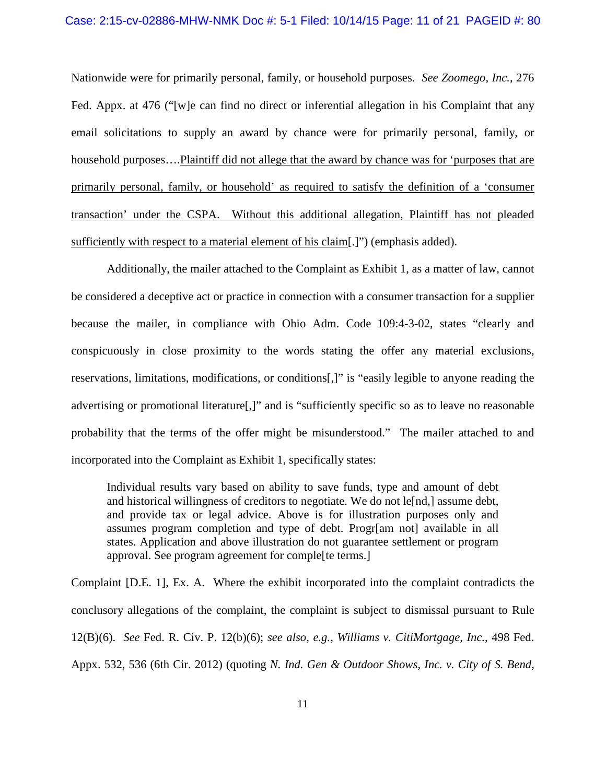#### Case: 2:15-cv-02886-MHW-NMK Doc #: 5-1 Filed: 10/14/15 Page: 11 of 21 PAGEID #: 80

Nationwide were for primarily personal, family, or household purposes. *See Zoomego, Inc.*, 276 Fed. Appx. at 476 ("[w]e can find no direct or inferential allegation in his Complaint that any email solicitations to supply an award by chance were for primarily personal, family, or household purposes….Plaintiff did not allege that the award by chance was for 'purposes that are primarily personal, family, or household' as required to satisfy the definition of a 'consumer transaction' under the CSPA. Without this additional allegation, Plaintiff has not pleaded sufficiently with respect to a material element of his claim[.]") (emphasis added).

Additionally, the mailer attached to the Complaint as Exhibit 1, as a matter of law, cannot be considered a deceptive act or practice in connection with a consumer transaction for a supplier because the mailer, in compliance with Ohio Adm. Code 109:4-3-02, states "clearly and conspicuously in close proximity to the words stating the offer any material exclusions, reservations, limitations, modifications, or conditions[,]" is "easily legible to anyone reading the advertising or promotional literature[,]" and is "sufficiently specific so as to leave no reasonable probability that the terms of the offer might be misunderstood." The mailer attached to and incorporated into the Complaint as Exhibit 1, specifically states:

Individual results vary based on ability to save funds, type and amount of debt and historical willingness of creditors to negotiate. We do not le[nd,] assume debt, and provide tax or legal advice. Above is for illustration purposes only and assumes program completion and type of debt. Progr[am not] available in all states. Application and above illustration do not guarantee settlement or program approval. See program agreement for comple[te terms.]

Complaint [D.E. 1], Ex. A. Where the exhibit incorporated into the complaint contradicts the conclusory allegations of the complaint, the complaint is subject to dismissal pursuant to Rule 12(B)(6). *See* Fed. R. Civ. P. 12(b)(6); *see also*, *e.g.*, *Williams v. CitiMortgage, Inc.*, 498 Fed. Appx. 532, 536 (6th Cir. 2012) (quoting *N. Ind. Gen & Outdoor Shows, Inc. v. City of S. Bend*,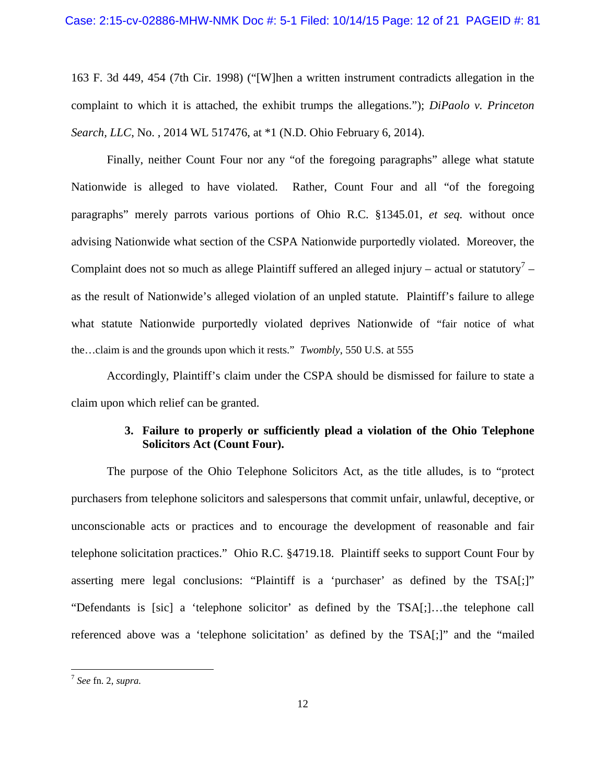163 F. 3d 449, 454 (7th Cir. 1998) ("[W]hen a written instrument contradicts allegation in the complaint to which it is attached, the exhibit trumps the allegations."); *DiPaolo v. Princeton Search, LLC*, No. , 2014 WL 517476, at \*1 (N.D. Ohio February 6, 2014).

Finally, neither Count Four nor any "of the foregoing paragraphs" allege what statute Nationwide is alleged to have violated. Rather, Count Four and all "of the foregoing paragraphs" merely parrots various portions of Ohio R.C. §1345.01, *et seq.* without once advising Nationwide what section of the CSPA Nationwide purportedly violated. Moreover, the Complaint does not so much as allege Plaintiff suffered an alleged injury – actual or statutory<sup>7</sup> – as the result of Nationwide's alleged violation of an unpled statute. Plaintiff's failure to allege what statute Nationwide purportedly violated deprives Nationwide of "fair notice of what the…claim is and the grounds upon which it rests." *Twombly*, 550 U.S. at 555

Accordingly, Plaintiff's claim under the CSPA should be dismissed for failure to state a claim upon which relief can be granted.

## **3. Failure to properly or sufficiently plead a violation of the Ohio Telephone Solicitors Act (Count Four).**

The purpose of the Ohio Telephone Solicitors Act, as the title alludes, is to "protect purchasers from telephone solicitors and salespersons that commit unfair, unlawful, deceptive, or unconscionable acts or practices and to encourage the development of reasonable and fair telephone solicitation practices." Ohio R.C. §4719.18. Plaintiff seeks to support Count Four by asserting mere legal conclusions: "Plaintiff is a 'purchaser' as defined by the TSA[;]" "Defendants is [sic] a 'telephone solicitor' as defined by the TSA[;]…the telephone call referenced above was a 'telephone solicitation' as defined by the TSA[;]" and the "mailed

<sup>7</sup> *See* fn. 2, *supra.*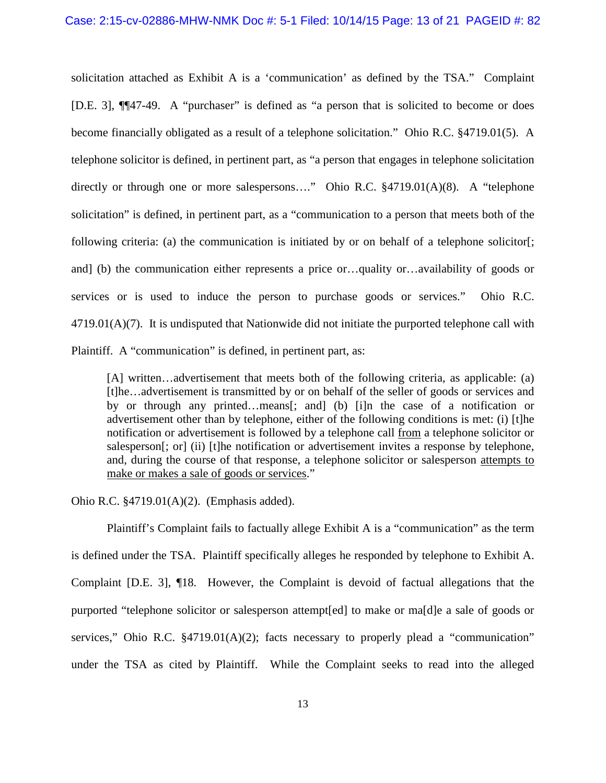solicitation attached as Exhibit A is a 'communication' as defined by the TSA." Complaint [D.E. 3], ¶¶47-49. A "purchaser" is defined as "a person that is solicited to become or does become financially obligated as a result of a telephone solicitation." Ohio R.C. §4719.01(5). A telephone solicitor is defined, in pertinent part, as "a person that engages in telephone solicitation directly or through one or more salespersons…." Ohio R.C. §4719.01(A)(8). A "telephone solicitation" is defined, in pertinent part, as a "communication to a person that meets both of the following criteria: (a) the communication is initiated by or on behalf of a telephone solicitor[; and] (b) the communication either represents a price or…quality or…availability of goods or services or is used to induce the person to purchase goods or services." Ohio R.C.  $4719.01(A)(7)$ . It is undisputed that Nationwide did not initiate the purported telephone call with Plaintiff. A "communication" is defined, in pertinent part, as:

[A] written…advertisement that meets both of the following criteria, as applicable: (a) [t]he…advertisement is transmitted by or on behalf of the seller of goods or services and by or through any printed…means[; and] (b) [i]n the case of a notification or advertisement other than by telephone, either of the following conditions is met: (i) [t]he notification or advertisement is followed by a telephone call from a telephone solicitor or salesperson[; or] (ii) [t]he notification or advertisement invites a response by telephone, and, during the course of that response, a telephone solicitor or salesperson attempts to make or makes a sale of goods or services."

Ohio R.C. §4719.01(A)(2). (Emphasis added).

Plaintiff's Complaint fails to factually allege Exhibit A is a "communication" as the term is defined under the TSA. Plaintiff specifically alleges he responded by telephone to Exhibit A. Complaint [D.E. 3], ¶18. However, the Complaint is devoid of factual allegations that the purported "telephone solicitor or salesperson attempt[ed] to make or ma[d]e a sale of goods or services," Ohio R.C. §4719.01(A)(2); facts necessary to properly plead a "communication" under the TSA as cited by Plaintiff. While the Complaint seeks to read into the alleged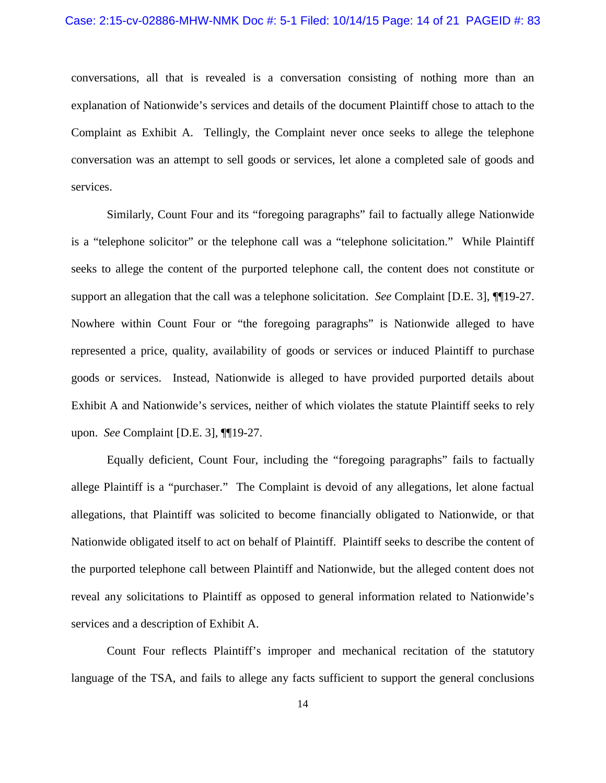conversations, all that is revealed is a conversation consisting of nothing more than an explanation of Nationwide's services and details of the document Plaintiff chose to attach to the Complaint as Exhibit A. Tellingly, the Complaint never once seeks to allege the telephone conversation was an attempt to sell goods or services, let alone a completed sale of goods and services.

Similarly, Count Four and its "foregoing paragraphs" fail to factually allege Nationwide is a "telephone solicitor" or the telephone call was a "telephone solicitation." While Plaintiff seeks to allege the content of the purported telephone call, the content does not constitute or support an allegation that the call was a telephone solicitation. *See* Complaint [D.E. 3], ¶¶19-27. Nowhere within Count Four or "the foregoing paragraphs" is Nationwide alleged to have represented a price, quality, availability of goods or services or induced Plaintiff to purchase goods or services. Instead, Nationwide is alleged to have provided purported details about Exhibit A and Nationwide's services, neither of which violates the statute Plaintiff seeks to rely upon. *See* Complaint [D.E. 3], ¶¶19-27.

Equally deficient, Count Four, including the "foregoing paragraphs" fails to factually allege Plaintiff is a "purchaser." The Complaint is devoid of any allegations, let alone factual allegations, that Plaintiff was solicited to become financially obligated to Nationwide, or that Nationwide obligated itself to act on behalf of Plaintiff. Plaintiff seeks to describe the content of the purported telephone call between Plaintiff and Nationwide, but the alleged content does not reveal any solicitations to Plaintiff as opposed to general information related to Nationwide's services and a description of Exhibit A.

Count Four reflects Plaintiff's improper and mechanical recitation of the statutory language of the TSA, and fails to allege any facts sufficient to support the general conclusions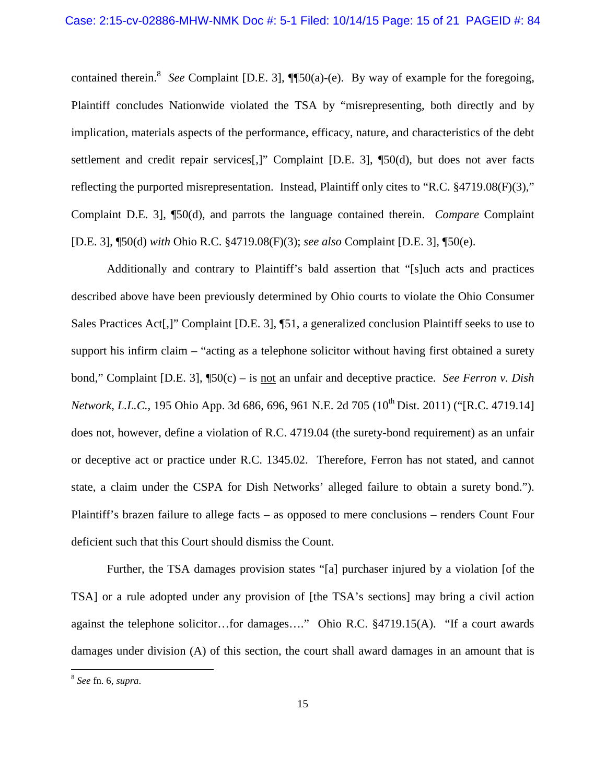contained therein.<sup>8</sup> See Complaint [D.E. 3], **[**[50(a)-(e). By way of example for the foregoing, Plaintiff concludes Nationwide violated the TSA by "misrepresenting, both directly and by implication, materials aspects of the performance, efficacy, nature, and characteristics of the debt settlement and credit repair services[,]" Complaint [D.E. 3], ¶50(d), but does not aver facts reflecting the purported misrepresentation. Instead, Plaintiff only cites to "R.C. §4719.08(F)(3)," Complaint D.E. 3], ¶50(d), and parrots the language contained therein. *Compare* Complaint [D.E. 3], ¶50(d) *with* Ohio R.C. §4719.08(F)(3); *see also* Complaint [D.E. 3], ¶50(e).

Additionally and contrary to Plaintiff's bald assertion that "[s]uch acts and practices described above have been previously determined by Ohio courts to violate the Ohio Consumer Sales Practices Act[,]" Complaint [D.E. 3], ¶51, a generalized conclusion Plaintiff seeks to use to support his infirm claim – "acting as a telephone solicitor without having first obtained a surety bond," Complaint [D.E. 3], ¶50(c) – is not an unfair and deceptive practice. *See Ferron v. Dish Network, L.L.C.*, 195 Ohio App. 3d 686, 696, 961 N.E. 2d 705 (10<sup>th</sup> Dist. 2011) ("[R.C. 4719.14] does not, however, define a violation of R.C. 4719.04 (the surety-bond requirement) as an unfair or deceptive act or practice under R.C. 1345.02. Therefore, Ferron has not stated, and cannot state, a claim under the CSPA for Dish Networks' alleged failure to obtain a surety bond."). Plaintiff's brazen failure to allege facts – as opposed to mere conclusions – renders Count Four deficient such that this Court should dismiss the Count.

Further, the TSA damages provision states "[a] purchaser injured by a violation [of the TSA] or a rule adopted under any provision of [the TSA's sections] may bring a civil action against the telephone solicitor…for damages…." Ohio R.C. §4719.15(A). "If a court awards damages under division (A) of this section, the court shall award damages in an amount that is

<sup>8</sup> *See* fn. 6, *supra*.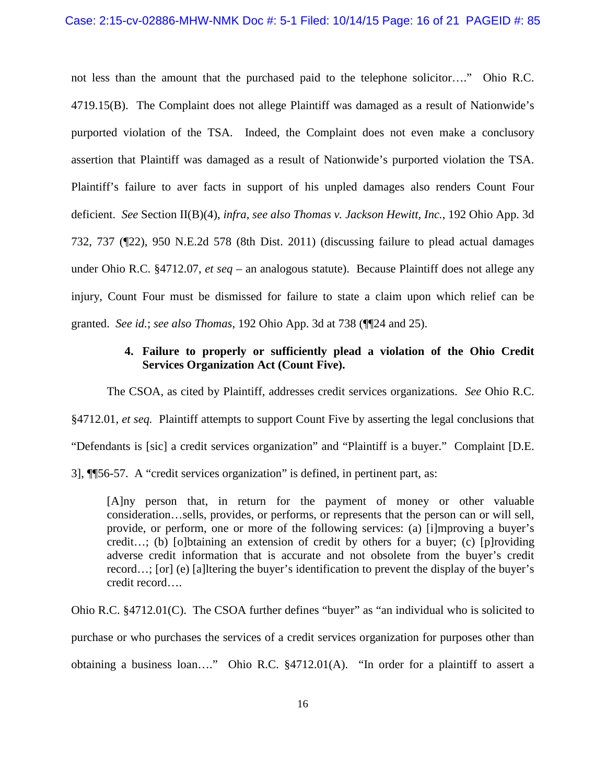not less than the amount that the purchased paid to the telephone solicitor…." Ohio R.C. 4719.15(B). The Complaint does not allege Plaintiff was damaged as a result of Nationwide's purported violation of the TSA. Indeed, the Complaint does not even make a conclusory assertion that Plaintiff was damaged as a result of Nationwide's purported violation the TSA. Plaintiff's failure to aver facts in support of his unpled damages also renders Count Four deficient. *See* Section II(B)(4), *infra*, *see also Thomas v. Jackson Hewitt, Inc.*, 192 Ohio App. 3d 732, 737 (¶22), 950 N.E.2d 578 (8th Dist. 2011) (discussing failure to plead actual damages under Ohio R.C. §4712.07, *et seq* – an analogous statute). Because Plaintiff does not allege any injury, Count Four must be dismissed for failure to state a claim upon which relief can be granted. *See id.*; *see also Thomas*, 192 Ohio App. 3d at 738 (¶¶24 and 25).

## **4. Failure to properly or sufficiently plead a violation of the Ohio Credit Services Organization Act (Count Five).**

The CSOA, as cited by Plaintiff, addresses credit services organizations. *See* Ohio R.C.

§4712.01, *et seq.* Plaintiff attempts to support Count Five by asserting the legal conclusions that

"Defendants is [sic] a credit services organization" and "Plaintiff is a buyer." Complaint [D.E.

3], ¶¶56-57. A "credit services organization" is defined, in pertinent part, as:

[A]ny person that, in return for the payment of money or other valuable consideration…sells, provides, or performs, or represents that the person can or will sell, provide, or perform, one or more of the following services: (a) [i]mproving a buyer's credit…; (b) [o]btaining an extension of credit by others for a buyer; (c) [p]roviding adverse credit information that is accurate and not obsolete from the buyer's credit record…; [or] (e) [a]ltering the buyer's identification to prevent the display of the buyer's credit record….

Ohio R.C. §4712.01(C). The CSOA further defines "buyer" as "an individual who is solicited to purchase or who purchases the services of a credit services organization for purposes other than obtaining a business loan…." Ohio R.C. §4712.01(A). "In order for a plaintiff to assert a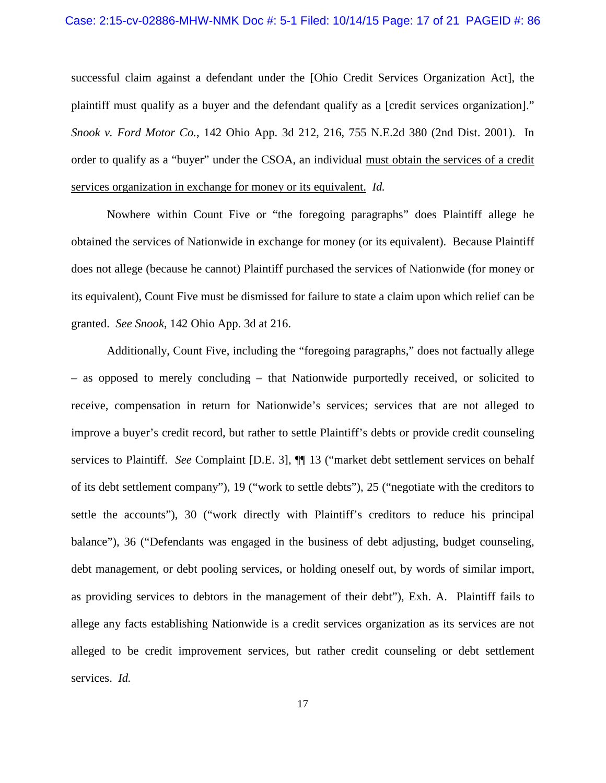#### Case: 2:15-cv-02886-MHW-NMK Doc #: 5-1 Filed: 10/14/15 Page: 17 of 21 PAGEID #: 86

successful claim against a defendant under the [Ohio Credit Services Organization Act], the plaintiff must qualify as a buyer and the defendant qualify as a [credit services organization]." *Snook v. Ford Motor Co.*, 142 Ohio App. 3d 212, 216, 755 N.E.2d 380 (2nd Dist. 2001). In order to qualify as a "buyer" under the CSOA, an individual must obtain the services of a credit services organization in exchange for money or its equivalent. *Id.*

Nowhere within Count Five or "the foregoing paragraphs" does Plaintiff allege he obtained the services of Nationwide in exchange for money (or its equivalent). Because Plaintiff does not allege (because he cannot) Plaintiff purchased the services of Nationwide (for money or its equivalent), Count Five must be dismissed for failure to state a claim upon which relief can be granted. *See Snook*, 142 Ohio App. 3d at 216.

Additionally, Count Five, including the "foregoing paragraphs," does not factually allege – as opposed to merely concluding – that Nationwide purportedly received, or solicited to receive, compensation in return for Nationwide's services; services that are not alleged to improve a buyer's credit record, but rather to settle Plaintiff's debts or provide credit counseling services to Plaintiff. *See* Complaint [D.E. 3], ¶¶ 13 ("market debt settlement services on behalf of its debt settlement company"), 19 ("work to settle debts"), 25 ("negotiate with the creditors to settle the accounts"), 30 ("work directly with Plaintiff's creditors to reduce his principal balance"), 36 ("Defendants was engaged in the business of debt adjusting, budget counseling, debt management, or debt pooling services, or holding oneself out, by words of similar import, as providing services to debtors in the management of their debt"), Exh. A. Plaintiff fails to allege any facts establishing Nationwide is a credit services organization as its services are not alleged to be credit improvement services, but rather credit counseling or debt settlement services. *Id.*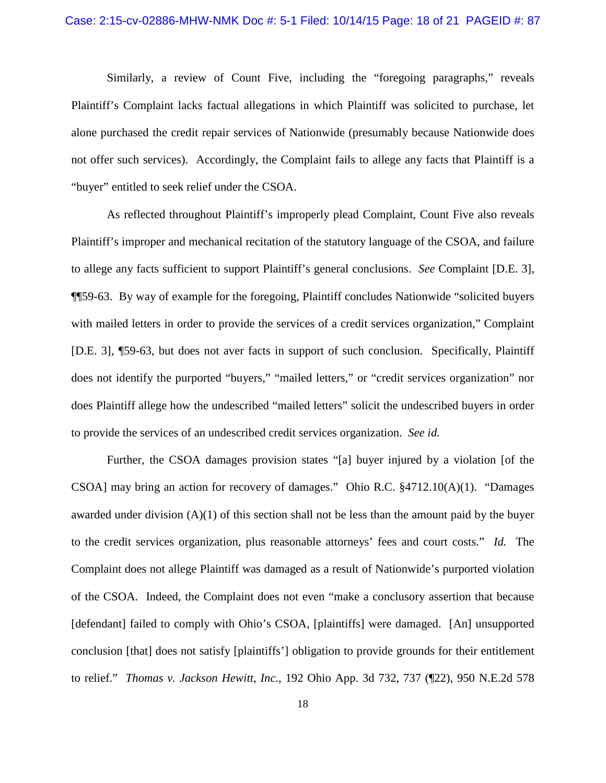#### Case: 2:15-cv-02886-MHW-NMK Doc #: 5-1 Filed: 10/14/15 Page: 18 of 21 PAGEID #: 87

Similarly, a review of Count Five, including the "foregoing paragraphs," reveals Plaintiff's Complaint lacks factual allegations in which Plaintiff was solicited to purchase, let alone purchased the credit repair services of Nationwide (presumably because Nationwide does not offer such services). Accordingly, the Complaint fails to allege any facts that Plaintiff is a "buyer" entitled to seek relief under the CSOA.

As reflected throughout Plaintiff's improperly plead Complaint, Count Five also reveals Plaintiff's improper and mechanical recitation of the statutory language of the CSOA, and failure to allege any facts sufficient to support Plaintiff's general conclusions. *See* Complaint [D.E. 3], ¶¶59-63. By way of example for the foregoing, Plaintiff concludes Nationwide "solicited buyers with mailed letters in order to provide the services of a credit services organization," Complaint [D.E. 3], ¶59-63, but does not aver facts in support of such conclusion. Specifically, Plaintiff does not identify the purported "buyers," "mailed letters," or "credit services organization" nor does Plaintiff allege how the undescribed "mailed letters" solicit the undescribed buyers in order to provide the services of an undescribed credit services organization. *See id.*

Further, the CSOA damages provision states "[a] buyer injured by a violation [of the CSOA] may bring an action for recovery of damages." Ohio R.C. §4712.10(A)(1). "Damages awarded under division  $(A)(1)$  of this section shall not be less than the amount paid by the buyer to the credit services organization, plus reasonable attorneys' fees and court costs." *Id.* The Complaint does not allege Plaintiff was damaged as a result of Nationwide's purported violation of the CSOA. Indeed, the Complaint does not even "make a conclusory assertion that because [defendant] failed to comply with Ohio's CSOA, [plaintiffs] were damaged. [An] unsupported conclusion [that] does not satisfy [plaintiffs'] obligation to provide grounds for their entitlement to relief." *Thomas v. Jackson Hewitt, Inc.*, 192 Ohio App. 3d 732, 737 (¶22), 950 N.E.2d 578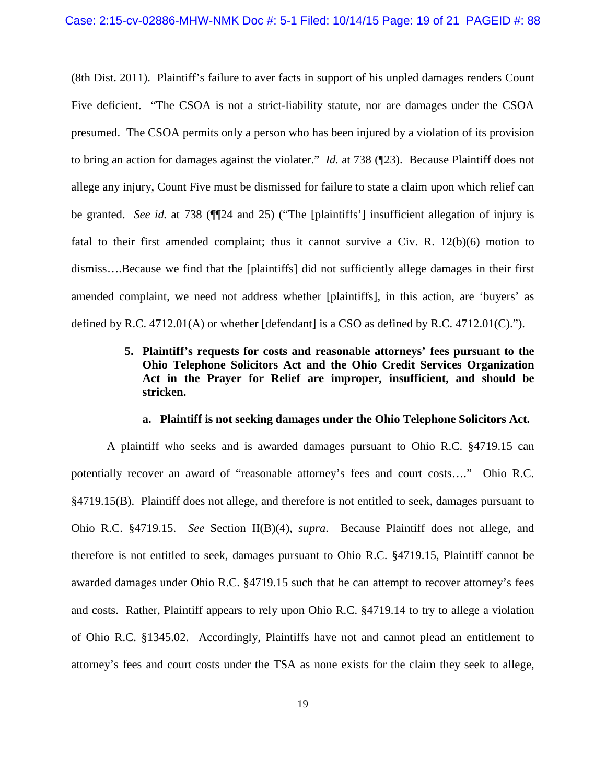(8th Dist. 2011). Plaintiff's failure to aver facts in support of his unpled damages renders Count Five deficient. "The CSOA is not a strict-liability statute, nor are damages under the CSOA presumed. The CSOA permits only a person who has been injured by a violation of its provision to bring an action for damages against the violater." *Id.* at 738 (¶23). Because Plaintiff does not allege any injury, Count Five must be dismissed for failure to state a claim upon which relief can be granted. *See id.* at 738 (¶¶24 and 25) ("The [plaintiffs'] insufficient allegation of injury is fatal to their first amended complaint; thus it cannot survive a Civ. R. 12(b)(6) motion to dismiss….Because we find that the [plaintiffs] did not sufficiently allege damages in their first amended complaint, we need not address whether [plaintiffs], in this action, are 'buyers' as defined by R.C.  $4712.01(A)$  or whether [defendant] is a CSO as defined by R.C.  $4712.01(C)$ .").

# **5. Plaintiff's requests for costs and reasonable attorneys' fees pursuant to the Ohio Telephone Solicitors Act and the Ohio Credit Services Organization Act in the Prayer for Relief are improper, insufficient, and should be stricken.**

### **a. Plaintiff is not seeking damages under the Ohio Telephone Solicitors Act.**

A plaintiff who seeks and is awarded damages pursuant to Ohio R.C. §4719.15 can potentially recover an award of "reasonable attorney's fees and court costs…." Ohio R.C. §4719.15(B). Plaintiff does not allege, and therefore is not entitled to seek, damages pursuant to Ohio R.C. §4719.15. *See* Section II(B)(4), *supra*. Because Plaintiff does not allege, and therefore is not entitled to seek, damages pursuant to Ohio R.C. §4719.15, Plaintiff cannot be awarded damages under Ohio R.C. §4719.15 such that he can attempt to recover attorney's fees and costs. Rather, Plaintiff appears to rely upon Ohio R.C. §4719.14 to try to allege a violation of Ohio R.C. §1345.02. Accordingly, Plaintiffs have not and cannot plead an entitlement to attorney's fees and court costs under the TSA as none exists for the claim they seek to allege,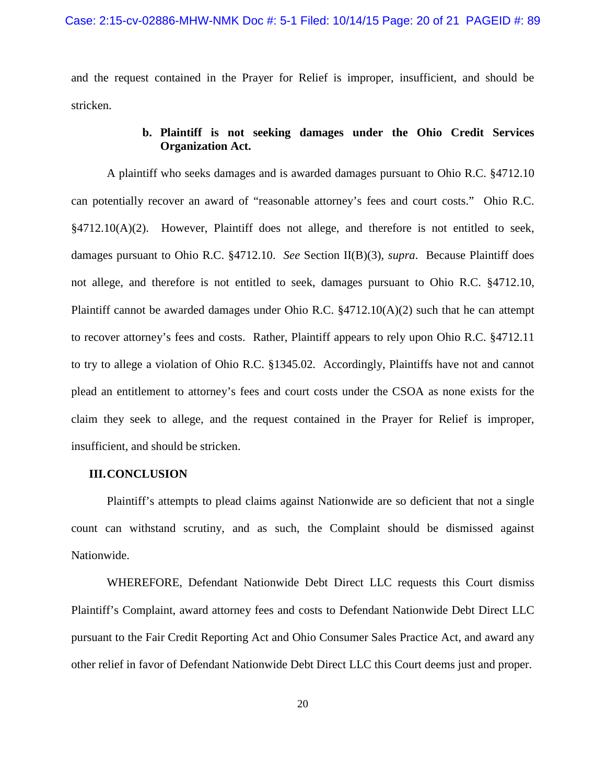and the request contained in the Prayer for Relief is improper, insufficient, and should be stricken.

## **b. Plaintiff is not seeking damages under the Ohio Credit Services Organization Act.**

A plaintiff who seeks damages and is awarded damages pursuant to Ohio R.C. §4712.10 can potentially recover an award of "reasonable attorney's fees and court costs." Ohio R.C. §4712.10(A)(2). However, Plaintiff does not allege, and therefore is not entitled to seek, damages pursuant to Ohio R.C. §4712.10. *See* Section II(B)(3), *supra*. Because Plaintiff does not allege, and therefore is not entitled to seek, damages pursuant to Ohio R.C. §4712.10, Plaintiff cannot be awarded damages under Ohio R.C. §4712.10(A)(2) such that he can attempt to recover attorney's fees and costs. Rather, Plaintiff appears to rely upon Ohio R.C. §4712.11 to try to allege a violation of Ohio R.C. §1345.02. Accordingly, Plaintiffs have not and cannot plead an entitlement to attorney's fees and court costs under the CSOA as none exists for the claim they seek to allege, and the request contained in the Prayer for Relief is improper, insufficient, and should be stricken.

### **III.CONCLUSION**

Plaintiff's attempts to plead claims against Nationwide are so deficient that not a single count can withstand scrutiny, and as such, the Complaint should be dismissed against Nationwide.

WHEREFORE, Defendant Nationwide Debt Direct LLC requests this Court dismiss Plaintiff's Complaint, award attorney fees and costs to Defendant Nationwide Debt Direct LLC pursuant to the Fair Credit Reporting Act and Ohio Consumer Sales Practice Act, and award any other relief in favor of Defendant Nationwide Debt Direct LLC this Court deems just and proper.